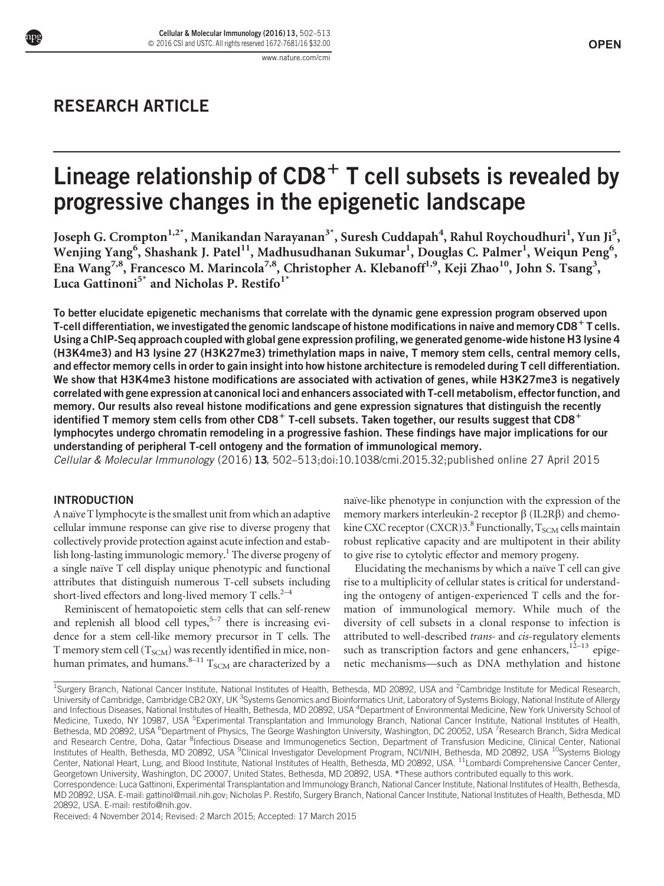# RESEARCH ARTICLE

# Lineage relationship of  $CD8<sup>+</sup>$  T cell subsets is revealed by progressive changes in the epigenetic landscape

Joseph G. Crompton<sup>1,2\*</sup>, Manikandan Narayanan<sup>3\*</sup>, Suresh Cuddapah<sup>4</sup>, Rahul Roychoudhuri<sup>1</sup>, Yun Ji<sup>5</sup>, Wenjing Yang $^6$ , Shashank J. Patel $^{11}$ , Madhusudhanan Sukumar $^1$ , Douglas C. Palmer $^1$ , Weiqun Peng $^6$ , Ena Wang<sup>7,8</sup>, Francesco M. Marincola<sup>7,8</sup>, Christopher A. Klebanoff<sup>1,9</sup>, Keji Zhao<sup>10</sup>, John S. Tsang<sup>3</sup>, Luca Gattinoni<sup>5\*</sup> and Nicholas P. Restifo<sup>1</sup>

To better elucidate epigenetic mechanisms that correlate with the dynamic gene expression program observed upon T-cell differentiation, we investigated the genomic landscape of histone modifications in naive and memory CD8<sup>+</sup> T cells. Using a ChIP-Seq approach coupled with global gene expression profiling, we generated genome-wide histone H3 lysine 4 (H3K4me3) and H3 lysine 27 (H3K27me3) trimethylation maps in naive, T memory stem cells, central memory cells, and effector memory cells in order to gain insight into how histone architecture is remodeled during T cell differentiation. We show that H3K4me3 histone modifications are associated with activation of genes, while H3K27me3 is negatively correlated with gene expression at canonical loci and enhancers associated with T-cell metabolism, effector function, and memory. Our results also reveal histone modifications and gene expression signatures that distinguish the recently identified T memory stem cells from other CD8<sup>+</sup> T-cell subsets. Taken together, our results suggest that CD8<sup>+</sup> lymphocytes undergo chromatin remodeling in a progressive fashion. These findings have major implications for our understanding of peripheral T-cell ontogeny and the formation of immunological memory.

Cellular & Molecular Immunology (2016) 13, 502–513;doi:10.1038/cmi.2015.32;published online 27 April 2015

### INTRODUCTION

A naïve T lymphocyte is the smallest unit from which an adaptive cellular immune response can give rise to diverse progeny that collectively provide protection against acute infection and establish long-lasting immunologic memory.<sup>1</sup> The diverse progeny of a single naïve T cell display unique phenotypic and functional attributes that distinguish numerous T-cell subsets including short-lived effectors and long-lived memory T cells.<sup>2-4</sup>

Reminiscent of hematopoietic stem cells that can self-renew and replenish all blood cell types, $5-7$  there is increasing evidence for a stem cell-like memory precursor in T cells. The T memory stem cell  $(T_{SCM})$  was recently identified in mice, nonhuman primates, and humans.<sup>8–11</sup>  $T_{SCM}$  are characterized by a

naïve-like phenotype in conjunction with the expression of the memory markers interleukin-2 receptor  $\beta$  (IL2R $\beta$ ) and chemokine CXC receptor (CXCR)3.<sup>8</sup> Functionally,  $T_{\rm SCM}$  cells maintain robust replicative capacity and are multipotent in their ability to give rise to cytolytic effector and memory progeny.

Elucidating the mechanisms by which a naïve  $T$  cell can give rise to a multiplicity of cellular states is critical for understanding the ontogeny of antigen-experienced T cells and the formation of immunological memory. While much of the diversity of cell subsets in a clonal response to infection is attributed to well-described trans- and cis-regulatory elements such as transcription factors and gene enhancers, $12-13$  epigenetic mechanisms—such as DNA methylation and histone

Received: 4 November 2014; Revised: 2 March 2015; Accepted: 17 March 2015

<sup>&</sup>lt;sup>1</sup>Surgery Branch, National Cancer Institute, National Institutes of Health, Bethesda, MD 20892, USA and <sup>2</sup>Cambridge Institute for Medical Research, University of Cambridge, Cambridge CB2 OXY, UK<sup>3</sup>Systems Genomics and Bioinformatics Unit, Laboratory of Systems Biology, National Institute of Allergy and Infectious Diseases, National Institutes of Health, Bethesda, MD 20892, USA <sup>4</sup>Department of Environmental Medicine, New York University School of Medicine, Tuxedo, NY 10987, USA <sup>5</sup>Experimental Transplantation and Immunology Branch, National Cancer Institute, National Institutes of Health, Bethesda, MD 20892, USA <sup>6</sup>Department of Physics, The George Washington University, Washington, DC 20052, USA 'Research Branch, Sidra Medical and Research Centre, Doha, Qatar <sup>8</sup>Infectious Disease and Immunogenetics Section, Department of Transfusion Medicine, Clinical Center, National Institutes of Health, Bethesda, MD 20892, USA <sup>9</sup>Clinical Investigator Development Program, NCI/NIH, Bethesda, MD 20892, USA <sup>10</sup>Systems Biology Center, National Heart, Lung, and Blood Institute, National Institutes of Health, Bethesda, MD 20892, USA. <sup>11</sup>Lombardi Comprehensive Cancer Center, Georgetown University, Washington, DC 20007, United States, Bethesda, MD 20892, USA. \*These authors contributed equally to this work. Correspondence: Luca Gattinoni, Experimental Transplantation and Immunology Branch, National Cancer Institute, National Institutes of Health, Bethesda,

MD 20892, USA. E-mail: gattinol@mail.nih.gov; Nicholas P. Restifo, Surgery Branch, National Cancer Institute, National Institutes of Health, Bethesda, MD 20892, USA. E-mail: restifo@nih.gov.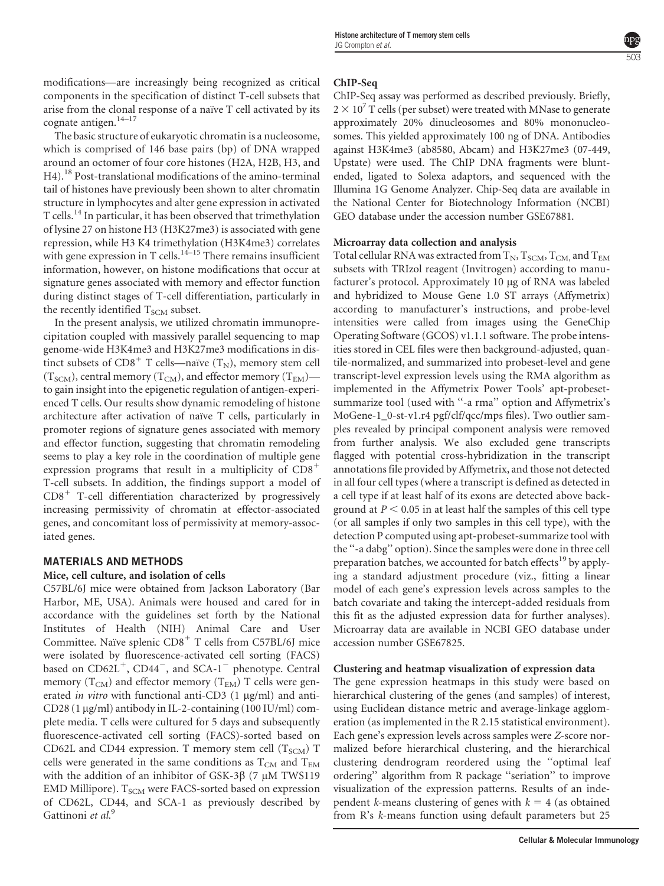modifications—are increasingly being recognized as critical components in the specification of distinct T-cell subsets that arise from the clonal response of a naïve T cell activated by its cognate antigen.<sup>14-17</sup>

The basic structure of eukaryotic chromatin is a nucleosome, which is comprised of 146 base pairs (bp) of DNA wrapped around an octomer of four core histones (H2A, H2B, H3, and H4).<sup>18</sup> Post-translational modifications of the amino-terminal tail of histones have previously been shown to alter chromatin structure in lymphocytes and alter gene expression in activated T cells.<sup>14</sup> In particular, it has been observed that trimethylation of lysine 27 on histone H3 (H3K27me3) is associated with gene repression, while H3 K4 trimethylation (H3K4me3) correlates with gene expression in T cells.<sup>14–15</sup> There remains insufficient information, however, on histone modifications that occur at signature genes associated with memory and effector function during distinct stages of T-cell differentiation, particularly in the recently identified  $T_{SCM}$  subset.

In the present analysis, we utilized chromatin immunoprecipitation coupled with massively parallel sequencing to map genome-wide H3K4me3 and H3K27me3 modifications in distinct subsets of  $CD8^+$  T cells—naïve  $(T_N)$ , memory stem cell  $(T_{SCM})$ , central memory  $(T_{CM})$ , and effector memory  $(T_{EM})$  to gain insight into the epigenetic regulation of antigen-experienced T cells. Our results show dynamic remodeling of histone architecture after activation of naïve T cells, particularly in promoter regions of signature genes associated with memory and effector function, suggesting that chromatin remodeling seems to play a key role in the coordination of multiple gene expression programs that result in a multiplicity of  $CD8^+$ T-cell subsets. In addition, the findings support a model of  $CDB<sup>+</sup>$  T-cell differentiation characterized by progressively increasing permissivity of chromatin at effector-associated genes, and concomitant loss of permissivity at memory-associated genes.

# MATERIALS AND METHODS

# Mice, cell culture, and isolation of cells

C57BL/6J mice were obtained from Jackson Laboratory (Bar Harbor, ME, USA). Animals were housed and cared for in accordance with the guidelines set forth by the National Institutes of Health (NIH) Animal Care and User Committee. Naïve splenic CD8<sup>+</sup> T cells from C57BL/6J mice were isolated by fluorescence-activated cell sorting (FACS) based on  $CD62L^+$ ,  $CD44^-$ , and  $SCA-1^-$  phenotype. Central memory  $(T_{CM})$  and effector memory  $(T_{EM})$  T cells were generated in vitro with functional anti-CD3  $(1 \mu g/ml)$  and anti- $CD28$  (1  $\mu$ g/ml) antibody in IL-2-containing (100 IU/ml) complete media. T cells were cultured for 5 days and subsequently fluorescence-activated cell sorting (FACS)-sorted based on CD62L and CD44 expression. T memory stem cell  $(T_{SCM})$  T cells were generated in the same conditions as  $T_{CM}$  and  $T_{EM}$ with the addition of an inhibitor of GSK-3 $\beta$  (7 µM TWS119 EMD Millipore).  $T_{SCM}$  were FACS-sorted based on expression of CD62L, CD44, and SCA-1 as previously described by Gattinoni et al.<sup>9</sup>

#### ChIP-Seq

ChIP-Seq assay was performed as described previously. Briefly,  $2 \times 10^7$  T cells (per subset) were treated with MNase to generate approximately 20% dinucleosomes and 80% mononucleosomes. This yielded approximately 100 ng of DNA. Antibodies against H3K4me3 (ab8580, Abcam) and H3K27me3 (07-449, Upstate) were used. The ChIP DNA fragments were bluntended, ligated to Solexa adaptors, and sequenced with the Illumina 1G Genome Analyzer. Chip-Seq data are available in the National Center for Biotechnology Information (NCBI) GEO database under the accession number GSE67881.

### Microarray data collection and analysis

Total cellular RNA was extracted from  $T_N$ ,  $T_{SCM}$ ,  $T_{CM}$ , and  $T_{EM}$ subsets with TRIzol reagent (Invitrogen) according to manufacturer's protocol. Approximately 10 µg of RNA was labeled and hybridized to Mouse Gene 1.0 ST arrays (Affymetrix) according to manufacturer's instructions, and probe-level intensities were called from images using the GeneChip Operating Software (GCOS) v1.1.1 software. The probe intensities stored in CEL files were then background-adjusted, quantile-normalized, and summarized into probeset-level and gene transcript-level expression levels using the RMA algorithm as implemented in the Affymetrix Power Tools' apt-probesetsummarize tool (used with "-a rma" option and Affymetrix's MoGene-1\_0-st-v1.r4 pgf/clf/qcc/mps files). Two outlier samples revealed by principal component analysis were removed from further analysis. We also excluded gene transcripts flagged with potential cross-hybridization in the transcript annotations file provided by Affymetrix, and those not detected in all four cell types (where a transcript is defined as detected in a cell type if at least half of its exons are detected above background at  $P < 0.05$  in at least half the samples of this cell type (or all samples if only two samples in this cell type), with the detection P computed using apt-probeset-summarize tool with the ''-a dabg'' option). Since the samples were done in three cell preparation batches, we accounted for batch effects<sup>19</sup> by applying a standard adjustment procedure (viz., fitting a linear model of each gene's expression levels across samples to the batch covariate and taking the intercept-added residuals from this fit as the adjusted expression data for further analyses). Microarray data are available in NCBI GEO database under accession number GSE67825.

### Clustering and heatmap visualization of expression data

The gene expression heatmaps in this study were based on hierarchical clustering of the genes (and samples) of interest, using Euclidean distance metric and average-linkage agglomeration (as implemented in the R 2.15 statistical environment). Each gene's expression levels across samples were Z-score normalized before hierarchical clustering, and the hierarchical clustering dendrogram reordered using the ''optimal leaf ordering'' algorithm from R package ''seriation'' to improve visualization of the expression patterns. Results of an independent k-means clustering of genes with  $k = 4$  (as obtained from R's k-means function using default parameters but 25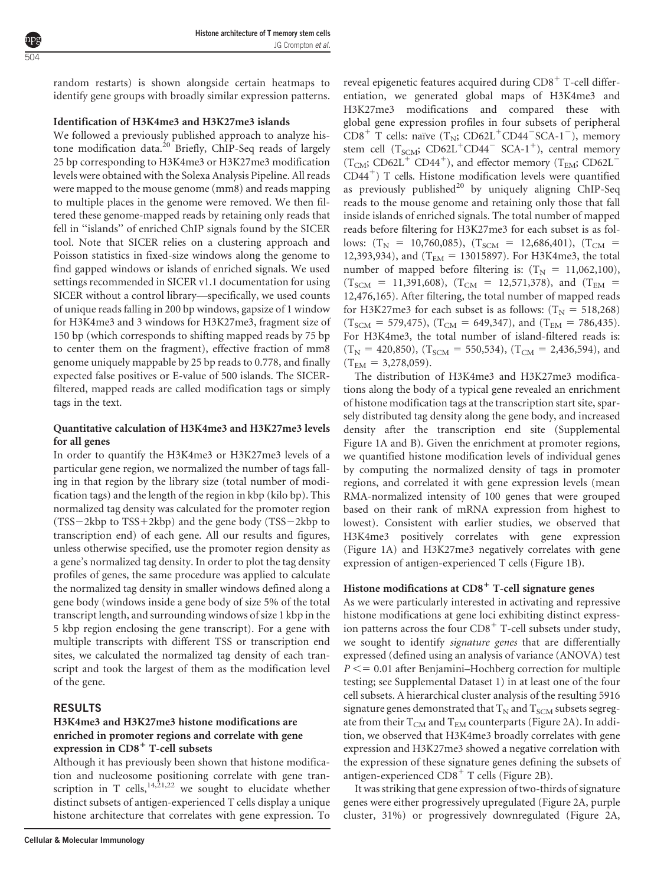random restarts) is shown alongside certain heatmaps to identify gene groups with broadly similar expression patterns.

## Identification of H3K4me3 and H3K27me3 islands

We followed a previously published approach to analyze histone modification data.<sup>20</sup> Briefly, ChIP-Seq reads of largely 25 bp corresponding to H3K4me3 or H3K27me3 modification levels were obtained with the Solexa Analysis Pipeline. All reads were mapped to the mouse genome (mm8) and reads mapping to multiple places in the genome were removed. We then filtered these genome-mapped reads by retaining only reads that fell in ''islands'' of enriched ChIP signals found by the SICER tool. Note that SICER relies on a clustering approach and Poisson statistics in fixed-size windows along the genome to find gapped windows or islands of enriched signals. We used settings recommended in SICER v1.1 documentation for using SICER without a control library—specifically, we used counts of unique reads falling in 200 bp windows, gapsize of 1 window for H3K4me3 and 3 windows for H3K27me3, fragment size of 150 bp (which corresponds to shifting mapped reads by 75 bp to center them on the fragment), effective fraction of mm8 genome uniquely mappable by 25 bp reads to 0.778, and finally expected false positives or E-value of 500 islands. The SICERfiltered, mapped reads are called modification tags or simply tags in the text.

# Quantitative calculation of H3K4me3 and H3K27me3 levels for all genes

In order to quantify the H3K4me3 or H3K27me3 levels of a particular gene region, we normalized the number of tags falling in that region by the library size (total number of modification tags) and the length of the region in kbp (kilo bp). This normalized tag density was calculated for the promoter region  $(TSS-2kbp)$  to  $TSS+2kbp$  and the gene body  $(TSS-2kbp)$  to transcription end) of each gene. All our results and figures, unless otherwise specified, use the promoter region density as a gene's normalized tag density. In order to plot the tag density profiles of genes, the same procedure was applied to calculate the normalized tag density in smaller windows defined along a gene body (windows inside a gene body of size 5% of the total transcript length, and surrounding windows of size 1 kbp in the 5 kbp region enclosing the gene transcript). For a gene with multiple transcripts with different TSS or transcription end sites, we calculated the normalized tag density of each transcript and took the largest of them as the modification level of the gene.

# RESULTS

# H3K4me3 and H3K27me3 histone modifications are enriched in promoter regions and correlate with gene expression in CD8<sup>+</sup> T-cell subsets

Although it has previously been shown that histone modification and nucleosome positioning correlate with gene transcription in T cells,  $14,21,22$  we sought to elucidate whether distinct subsets of antigen-experienced T cells display a unique histone architecture that correlates with gene expression. To

reveal epigenetic features acquired during  $CD8^+$  T-cell differentiation, we generated global maps of H3K4me3 and H3K27me3 modifications and compared these with global gene expression profiles in four subsets of peripheral  $CD8^+$  T cells: naïve  $(T_N; CD62L^+CD44-SCA-1^-)$ , memory stem cell  $(T<sub>SCM</sub>; CD62L<sup>+</sup>CD44<sup>-</sup> SCA-1<sup>+</sup>)$ , central memory  $(T_{CM}$ ; CD62L<sup>+</sup> CD44<sup>+</sup>), and effector memory  $(T_{EM}$ ; CD62L<sup>-</sup>  $CD44^+$ ) T cells. Histone modification levels were quantified as previously published $^{20}$  by uniquely aligning ChIP-Seq reads to the mouse genome and retaining only those that fall inside islands of enriched signals. The total number of mapped reads before filtering for H3K27me3 for each subset is as follows:  $(T_N = 10,760,085)$ ,  $(T_{SCM} = 12,686,401)$ ,  $(T_{CM} =$ 12,393,934), and (T<sub>EM</sub> = 13015897). For H3K4me3, the total number of mapped before filtering is:  $(T<sub>N</sub> = 11,062,100)$ ,  $(T_{SCM}$  = 11,391,608),  $(T_{CM}$  = 12,571,378), and  $(T_{EM}$  = 12,476,165). After filtering, the total number of mapped reads for H3K27me3 for each subset is as follows:  $(T<sub>N</sub> = 518,268)$  $(T_{SCM} = 579,475)$ ,  $(T_{CM} = 649,347)$ , and  $(T_{EM} = 786,435)$ . For H3K4me3, the total number of island-filtered reads is:  $(T<sub>N</sub> = 420,850), (T<sub>SCM</sub> = 550,534), (T<sub>CM</sub> = 2,436,594), and$  $(T_{EM} = 3,278,059).$ 

The distribution of H3K4me3 and H3K27me3 modifications along the body of a typical gene revealed an enrichment of histone modification tags at the transcription start site, sparsely distributed tag density along the gene body, and increased density after the transcription end site (Supplemental Figure 1A and B). Given the enrichment at promoter regions, we quantified histone modification levels of individual genes by computing the normalized density of tags in promoter regions, and correlated it with gene expression levels (mean RMA-normalized intensity of 100 genes that were grouped based on their rank of mRNA expression from highest to lowest). Consistent with earlier studies, we observed that H3K4me3 positively correlates with gene expression (Figure 1A) and H3K27me3 negatively correlates with gene expression of antigen-experienced T cells (Figure 1B).

# Histone modifications at CD8<sup>+</sup> T-cell signature genes

As we were particularly interested in activating and repressive histone modifications at gene loci exhibiting distinct expression patterns across the four  $CDS<sup>+</sup>$  T-cell subsets under study, we sought to identify signature genes that are differentially expressed (defined using an analysis of variance (ANOVA) test  $P \leq 0.01$  after Benjamini–Hochberg correction for multiple testing; see Supplemental Dataset 1) in at least one of the four cell subsets. A hierarchical cluster analysis of the resulting 5916 signature genes demonstrated that  $T_N$  and  $T_{SCM}$  subsets segregate from their  $T_{CM}$  and  $T_{EM}$  counterparts (Figure 2A). In addition, we observed that H3K4me3 broadly correlates with gene expression and H3K27me3 showed a negative correlation with the expression of these signature genes defining the subsets of antigen-experienced CD8<sup>+</sup> T cells (Figure 2B).

It was striking that gene expression of two-thirds of signature genes were either progressively upregulated (Figure 2A, purple cluster, 31%) or progressively downregulated (Figure 2A,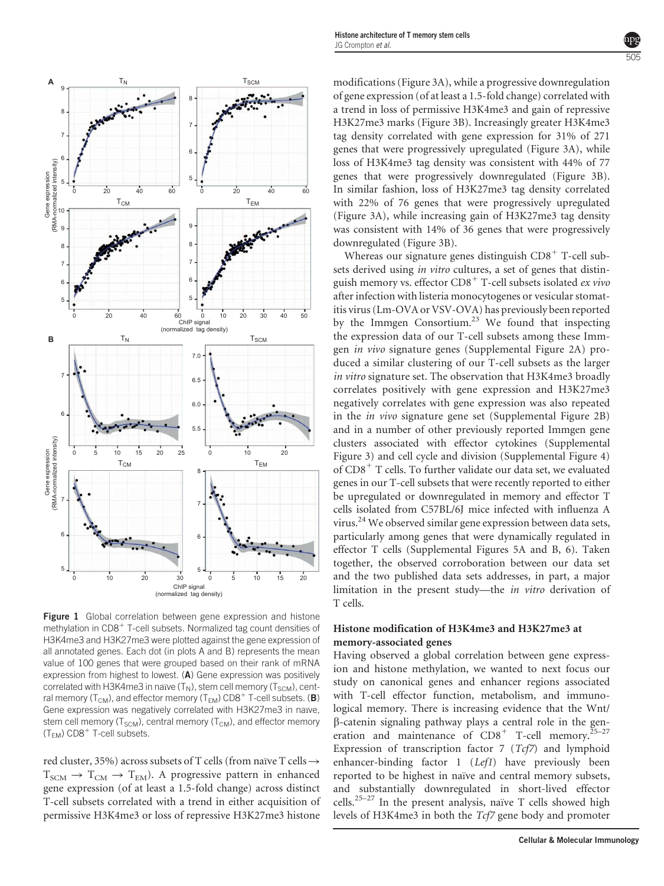

Figure 1 Global correlation between gene expression and histone methylation in CD8<sup>+</sup> T-cell subsets. Normalized tag count densities of H3K4me3 and H3K27me3 were plotted against the gene expression of all annotated genes. Each dot (in plots A and B) represents the mean value of 100 genes that were grouped based on their rank of mRNA expression from highest to lowest. (A) Gene expression was positively correlated with H3K4me3 in naïve  $(T_N)$ , stem cell memory  $(T_{SCM})$ , central memory ( $T_{CM}$ ), and effector memory ( $T_{EM}$ ) CD8<sup>+</sup> T-cell subsets. (**B**) Gene expression was negatively correlated with H3K27me3 in naïve, stem cell memory ( $T_{SCM}$ ), central memory ( $T_{CM}$ ), and effector memory  $(T_{EM})$  CD8<sup>+</sup> T-cell subsets.

red cluster, 35%) across subsets of T cells (from naïve T cells  $\rightarrow$  $T_{SCM} \rightarrow T_{CM} \rightarrow T_{EM}$ ). A progressive pattern in enhanced gene expression (of at least a 1.5-fold change) across distinct T-cell subsets correlated with a trend in either acquisition of permissive H3K4me3 or loss of repressive H3K27me3 histone modifications (Figure 3A), while a progressive downregulation of gene expression (of at least a 1.5-fold change) correlated with a trend in loss of permissive H3K4me3 and gain of repressive H3K27me3 marks (Figure 3B). Increasingly greater H3K4me3 tag density correlated with gene expression for 31% of 271 genes that were progressively upregulated (Figure 3A), while loss of H3K4me3 tag density was consistent with 44% of 77 genes that were progressively downregulated (Figure 3B). In similar fashion, loss of H3K27me3 tag density correlated with 22% of 76 genes that were progressively upregulated (Figure 3A), while increasing gain of H3K27me3 tag density was consistent with 14% of 36 genes that were progressively downregulated (Figure 3B).

Whereas our signature genes distinguish  $CD8<sup>+</sup>$  T-cell subsets derived using in vitro cultures, a set of genes that distinguish memory vs. effector CD8<sup>+</sup> T-cell subsets isolated ex vivo after infection with listeria monocytogenes or vesicular stomatitis virus (Lm-OVA or VSV-OVA) has previously been reported by the Immgen Consortium.<sup>23</sup> We found that inspecting the expression data of our T-cell subsets among these Immgen in vivo signature genes (Supplemental Figure 2A) produced a similar clustering of our T-cell subsets as the larger in vitro signature set. The observation that H3K4me3 broadly correlates positively with gene expression and H3K27me3 negatively correlates with gene expression was also repeated in the in vivo signature gene set (Supplemental Figure 2B) and in a number of other previously reported Immgen gene clusters associated with effector cytokines (Supplemental Figure 3) and cell cycle and division (Supplemental Figure 4) of  $CD8<sup>+</sup>$  T cells. To further validate our data set, we evaluated genes in our T-cell subsets that were recently reported to either be upregulated or downregulated in memory and effector T cells isolated from C57BL/6J mice infected with influenza A virus.<sup>24</sup> We observed similar gene expression between data sets, particularly among genes that were dynamically regulated in effector T cells (Supplemental Figures 5A and B, 6). Taken together, the observed corroboration between our data set and the two published data sets addresses, in part, a major limitation in the present study—the in vitro derivation of T cells.

# Histone modification of H3K4me3 and H3K27me3 at memory-associated genes

Having observed a global correlation between gene expression and histone methylation, we wanted to next focus our study on canonical genes and enhancer regions associated with T-cell effector function, metabolism, and immunological memory. There is increasing evidence that the Wnt/ b-catenin signaling pathway plays a central role in the generation and maintenance of  $CD8^+$  T-cell memory.<sup>25–27</sup> Expression of transcription factor  $7$  (Tcf7) and lymphoid enhancer-binding factor 1 (Lef1) have previously been reported to be highest in naïve and central memory subsets, and substantially downregulated in short-lived effector cells.<sup>25–27</sup> In the present analysis, naïve T cells showed high levels of H3K4me3 in both the Tcf7 gene body and promoter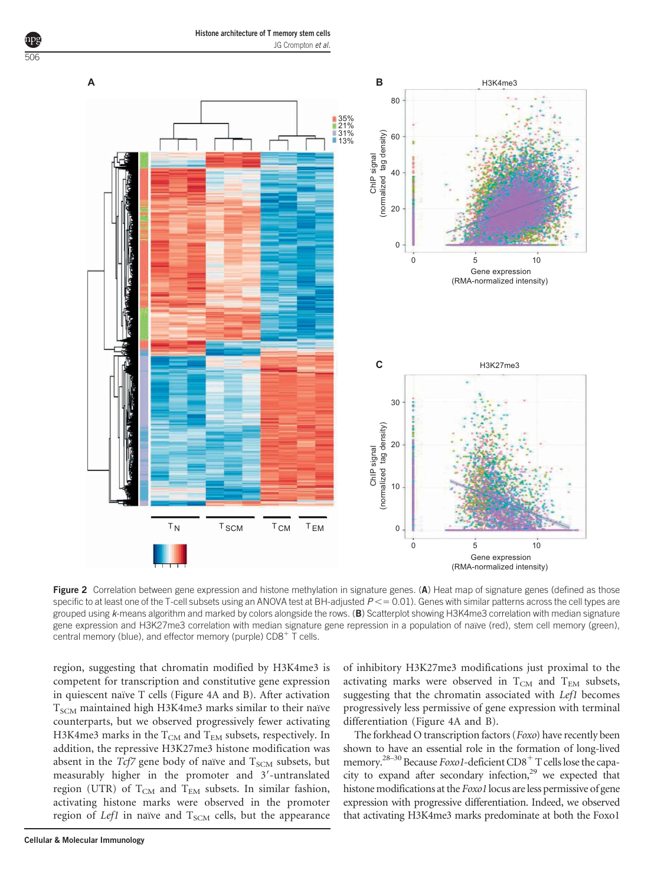506



Figure 2 Correlation between gene expression and histone methylation in signature genes. (A) Heat map of signature genes (defined as those specific to at least one of the T-cell subsets using an ANOVA test at BH-adjusted  $P < 0.01$ . Genes with similar patterns across the cell types are grouped using  $k$ -means algorithm and marked by colors alongside the rows. (B) Scatterplot showing H3K4me3 correlation with median signature gene expression and H3K27me3 correlation with median signature gene repression in a population of naïve (red), stem cell memory (green), central memory (blue), and effector memory (purple)  $CD8^+$  T cells.

region, suggesting that chromatin modified by H3K4me3 is competent for transcription and constitutive gene expression in quiescent naïve T cells (Figure 4A and B). After activation  $T_{SCM}$  maintained high H3K4me3 marks similar to their naïve counterparts, but we observed progressively fewer activating H3K4me3 marks in the  $T_{CM}$  and  $T_{EM}$  subsets, respectively. In addition, the repressive H3K27me3 histone modification was absent in the  $Tcf7$  gene body of naïve and  $T_{SCM}$  subsets, but measurably higher in the promoter and  $3'$ -untranslated region (UTR) of  $T_{CM}$  and  $T_{EM}$  subsets. In similar fashion, activating histone marks were observed in the promoter region of Lef1 in naïve and  $T_{SCM}$  cells, but the appearance

of inhibitory H3K27me3 modifications just proximal to the activating marks were observed in  $T_{CM}$  and  $T_{EM}$  subsets, suggesting that the chromatin associated with *Lef1* becomes progressively less permissive of gene expression with terminal differentiation (Figure 4A and B).

The forkhead O transcription factors (Foxo) have recently been shown to have an essential role in the formation of long-lived memory.<sup>28-30</sup> Because Foxo1-deficient CD8<sup>+</sup> T cells lose the capacity to expand after secondary infection,<sup>29</sup> we expected that histone modifications at the *Foxo1* locus are less permissive of gene expression with progressive differentiation. Indeed, we observed that activating H3K4me3 marks predominate at both the Foxo1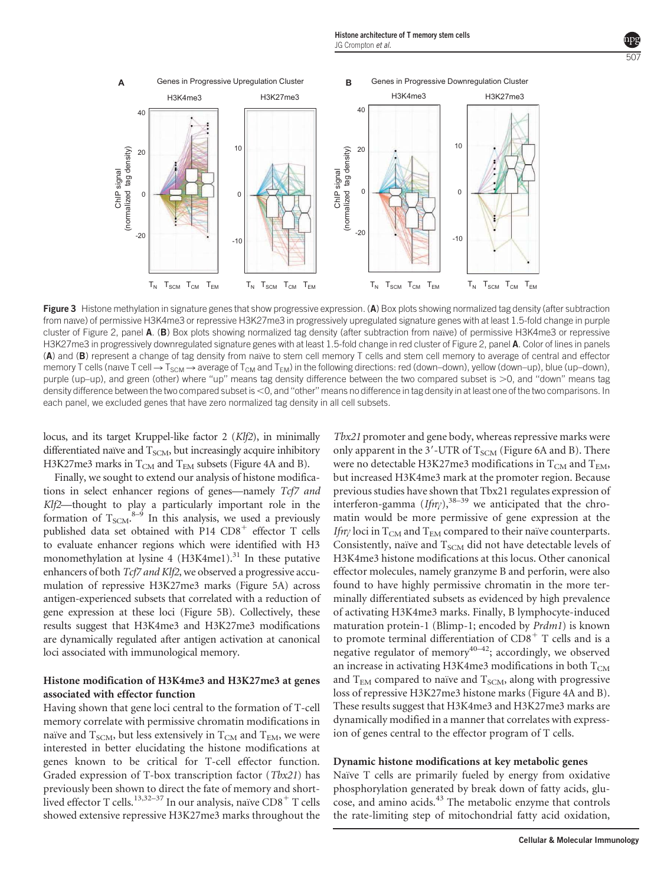

Figure 3 Histone methylation in signature genes that show progressive expression. (A) Box plots showing normalized tag density (after subtraction from naïve) of permissive H3K4me3 or repressive H3K27me3 in progressively upregulated signature genes with at least 1.5-fold change in purple cluster of Figure 2, panel A. (B) Box plots showing normalized tag density (after subtraction from naïve) of permissive H3K4me3 or repressive H3K27me3 in progressively downregulated signature genes with at least 1.5-fold change in red cluster of Figure 2, panel A. Color of lines in panels (A) and (B) represent a change of tag density from naïve to stem cell memory T cells and stem cell memory to average of central and effector memory T cells (naïve T cell  $\rightarrow$  T<sub>SCM</sub>  $\rightarrow$  average of T<sub>CM</sub> and T<sub>FM</sub>) in the following directions: red (down–down), yellow (down–up), blue (up–down), purple (up–up), and green (other) where "up" means tag density difference between the two compared subset is  $>$ 0, and "down" means tag density difference between the two compared subset is <0, and "other" means no difference in tag density in at least one of the two comparisons. In each panel, we excluded genes that have zero normalized tag density in all cell subsets.

locus, and its target Kruppel-like factor 2 (Klf2), in minimally differentiated naïve and  $T_{SCM}$ , but increasingly acquire inhibitory H3K27me3 marks in  $T_{CM}$  and  $T_{EM}$  subsets (Figure 4A and B).

Finally, we sought to extend our analysis of histone modifications in select enhancer regions of genes—namely Tcf7 and Klf2—thought to play a particularly important role in the formation of  $T_{SCM}$ .<sup>8-9</sup> In this analysis, we used a previously published data set obtained with  $P14$  CD8<sup>+</sup> effector T cells to evaluate enhancer regions which were identified with H3 monomethylation at lysine 4  $(H3K4me1)<sup>31</sup>$  In these putative enhancers of both Tcf7 and Klf2, we observed a progressive accumulation of repressive H3K27me3 marks (Figure 5A) across antigen-experienced subsets that correlated with a reduction of gene expression at these loci (Figure 5B). Collectively, these results suggest that H3K4me3 and H3K27me3 modifications are dynamically regulated after antigen activation at canonical loci associated with immunological memory.

# Histone modification of H3K4me3 and H3K27me3 at genes associated with effector function

Having shown that gene loci central to the formation of T-cell memory correlate with permissive chromatin modifications in naïve and  $T_{SCM}$ , but less extensively in  $T_{CM}$  and  $T_{EM}$ , we were interested in better elucidating the histone modifications at genes known to be critical for T-cell effector function. Graded expression of T-box transcription factor (Tbx21) has previously been shown to direct the fate of memory and shortlived effector T cells.<sup>13,32–37</sup> In our analysis, naïve  $\overline{CD8}^+$  T cells showed extensive repressive H3K27me3 marks throughout the

Tbx21 promoter and gene body, whereas repressive marks were only apparent in the  $3'$ -UTR of  $T_{SCM}$  (Figure 6A and B). There were no detectable H3K27me3 modifications in  $T_{\rm CM}$  and  $T_{\rm EM}$ , but increased H3K4me3 mark at the promoter region. Because previous studies have shown that Tbx21 regulates expression of interferon-gamma  $(If<sub>ny</sub>)$ ,<sup>38–39</sup> we anticipated that the chromatin would be more permissive of gene expression at the If *n* $\gamma$  loci in T<sub>CM</sub> and T<sub>EM</sub> compared to their naïve counterparts. Consistently, naïve and  $T_{SCM}$  did not have detectable levels of H3K4me3 histone modifications at this locus. Other canonical effector molecules, namely granzyme B and perforin, were also found to have highly permissive chromatin in the more terminally differentiated subsets as evidenced by high prevalence of activating H3K4me3 marks. Finally, B lymphocyte-induced maturation protein-1 (Blimp-1; encoded by Prdm1) is known to promote terminal differentiation of  $CD8<sup>+</sup>$  T cells and is a negative regulator of memory $40-42$ ; accordingly, we observed an increase in activating H3K4me3 modifications in both  $T_{CM}$ and  $T_{EM}$  compared to naïve and  $T_{SCM}$ , along with progressive loss of repressive H3K27me3 histone marks (Figure 4A and B). These results suggest that H3K4me3 and H3K27me3 marks are dynamically modified in a manner that correlates with expression of genes central to the effector program of T cells.

### Dynamic histone modifications at key metabolic genes

Naïve T cells are primarily fueled by energy from oxidative phosphorylation generated by break down of fatty acids, glucose, and amino acids.<sup>43</sup> The metabolic enzyme that controls the rate-limiting step of mitochondrial fatty acid oxidation,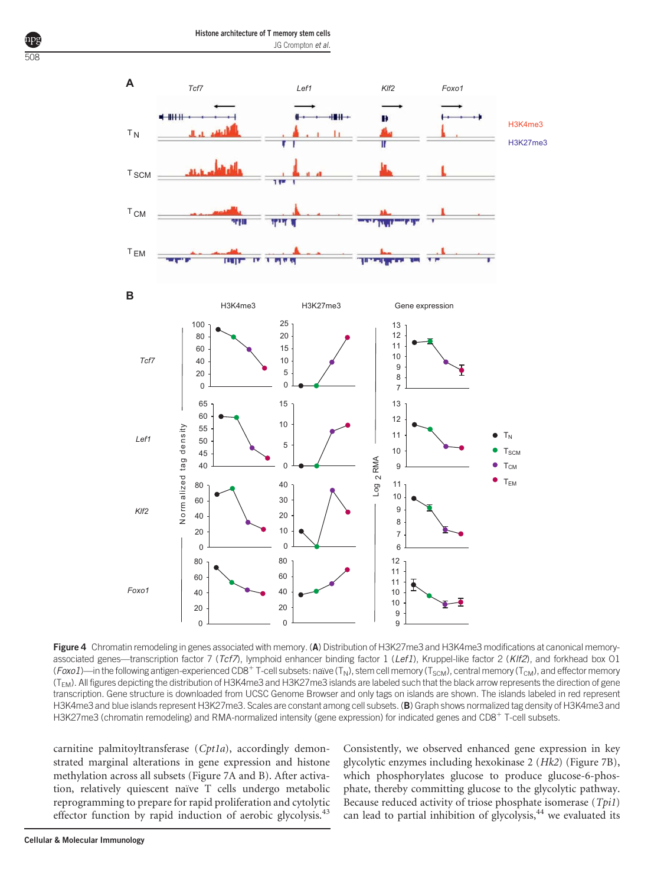

Figure 4 Chromatin remodeling in genes associated with memory. (A) Distribution of H3K27me3 and H3K4me3 modifications at canonical memoryassociated genes—transcription factor 7 (Tcf7), lymphoid enhancer binding factor 1 (Lef1), Kruppel-like factor 2 (KIf2), and forkhead box 01 (Foxo1)—in the following antigen-experienced CD8<sup>+</sup> T-cell subsets: naïve (T<sub>N</sub>), stem cell memory (T<sub>SCM</sub>), central memory (T<sub>CM</sub>), and effector memory (T<sub>EM</sub>). All figures depicting the distribution of H3K4me3 and H3K27me3 islands are labeled such that the black arrow represents the direction of gene transcription. Gene structure is downloaded from UCSC Genome Browser and only tags on islands are shown. The islands labeled in red represent H3K4me3 and blue islands represent H3K27me3. Scales are constant among cell subsets. (B) Graph shows normalized tag density of H3K4me3 and H3K27me3 (chromatin remodeling) and RMA-normalized intensity (gene expression) for indicated genes and CD8<sup>+</sup> T-cell subsets.

 

carnitine palmitoyltransferase (Cpt1a), accordingly demonstrated marginal alterations in gene expression and histone methylation across all subsets (Figure 7A and B). After activation, relatively quiescent naïve T cells undergo metabolic reprogramming to prepare for rapid proliferation and cytolytic effector function by rapid induction of aerobic glycolysis.<sup>43</sup>

 $\Omega$ 

z

 

*Foxo1*

Consistently, we observed enhanced gene expression in key glycolytic enzymes including hexokinase 2 (Hk2) (Figure 7B), which phosphorylates glucose to produce glucose-6-phosphate, thereby committing glucose to the glycolytic pathway. Because reduced activity of triose phosphate isomerase (Tpi1) can lead to partial inhibition of glycolysis, we evaluated its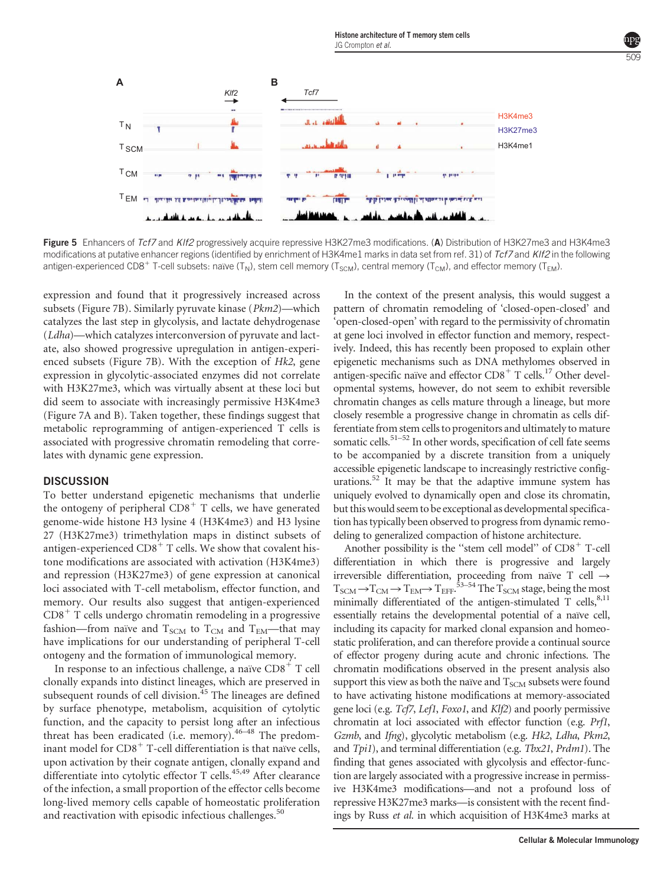



Figure 5 Enhancers of Tcf7 and KIf2 progressively acquire repressive H3K27me3 modifications. (A) Distribution of H3K27me3 and H3K4me3 modifications at putative enhancer regions (identified by enrichment of H3K4me1 marks in data set from ref. 31) of Tcf7 and KIf2 in the following antigen-experienced CD8<sup>+</sup> T-cell subsets: naïve (T<sub>N</sub>), stem cell memory (T<sub>SCM</sub>), central memory (T<sub>CM</sub>), and effector memory (T<sub>EM</sub>).

expression and found that it progressively increased across subsets (Figure 7B). Similarly pyruvate kinase (Pkm2)—which catalyzes the last step in glycolysis, and lactate dehydrogenase (Ldha)—which catalyzes interconversion of pyruvate and lactate, also showed progressive upregulation in antigen-experienced subsets (Figure 7B). With the exception of Hk2, gene expression in glycolytic-associated enzymes did not correlate with H3K27me3, which was virtually absent at these loci but did seem to associate with increasingly permissive H3K4me3 (Figure 7A and B). Taken together, these findings suggest that metabolic reprogramming of antigen-experienced T cells is associated with progressive chromatin remodeling that correlates with dynamic gene expression.

### **DISCUSSION**

To better understand epigenetic mechanisms that underlie the ontogeny of peripheral  $CDB<sup>+</sup>$  T cells, we have generated genome-wide histone H3 lysine 4 (H3K4me3) and H3 lysine 27 (H3K27me3) trimethylation maps in distinct subsets of antigen-experienced  $CDS^+$  T cells. We show that covalent histone modifications are associated with activation (H3K4me3) and repression (H3K27me3) of gene expression at canonical loci associated with T-cell metabolism, effector function, and memory. Our results also suggest that antigen-experienced CD8<sup>+</sup> T cells undergo chromatin remodeling in a progressive fashion—from naïve and  $T_{SCM}$  to  $T_{CM}$  and  $T_{EM}$ —that may have implications for our understanding of peripheral T-cell ontogeny and the formation of immunological memory.

In response to an infectious challenge, a naïve  $CDB<sup>+</sup>$  T cell clonally expands into distinct lineages, which are preserved in subsequent rounds of cell division.<sup>45</sup> The lineages are defined by surface phenotype, metabolism, acquisition of cytolytic function, and the capacity to persist long after an infectious threat has been eradicated (i.e. memory).<sup>46-48</sup> The predominant model for CD8<sup>+</sup> T-cell differentiation is that naïve cells, upon activation by their cognate antigen, clonally expand and differentiate into cytolytic effector T cells.<sup>45,49</sup> After clearance of the infection, a small proportion of the effector cells become long-lived memory cells capable of homeostatic proliferation and reactivation with episodic infectious challenges.<sup>50</sup>

In the context of the present analysis, this would suggest a pattern of chromatin remodeling of 'closed-open-closed' and 'open-closed-open' with regard to the permissivity of chromatin at gene loci involved in effector function and memory, respectively. Indeed, this has recently been proposed to explain other epigenetic mechanisms such as DNA methylomes observed in antigen-specific naïve and effector  $CD8<sup>+</sup>$  T cells.<sup>17</sup> Other developmental systems, however, do not seem to exhibit reversible chromatin changes as cells mature through a lineage, but more closely resemble a progressive change in chromatin as cells differentiate from stem cells to progenitors and ultimately to mature somatic cells.<sup>51-52</sup> In other words, specification of cell fate seems to be accompanied by a discrete transition from a uniquely accessible epigenetic landscape to increasingly restrictive configurations.<sup>52</sup> It may be that the adaptive immune system has uniquely evolved to dynamically open and close its chromatin, but this would seem to be exceptional as developmental specification has typically been observed to progress from dynamic remodeling to generalized compaction of histone architecture.

Another possibility is the "stem cell model" of  $CDB<sup>+</sup>$  T-cell differentiation in which there is progressive and largely irreversible differentiation, proceeding from naïve T cell  $\rightarrow$  $T_{\text{SCM}}$   $\rightarrow$   $T_{\text{CM}}$   $\rightarrow$   $T_{\text{EM}}$  $\rightarrow$   $T_{\text{EF}}$ .<sup>53–54</sup> The  $T_{\text{SCM}}$  stage, being the most minimally differentiated of the antigen-stimulated T cells,  $8,11$ essentially retains the developmental potential of a naïve cell, including its capacity for marked clonal expansion and homeostatic proliferation, and can therefore provide a continual source of effector progeny during acute and chronic infections. The chromatin modifications observed in the present analysis also support this view as both the naïve and  $T<sub>SCM</sub>$  subsets were found to have activating histone modifications at memory-associated gene loci (e.g. Tcf7, Lef1, Foxo1, and Klf2) and poorly permissive chromatin at loci associated with effector function (e.g. Prf1, Gzmb, and Ifng), glycolytic metabolism (e.g. Hk2, Ldha, Pkm2, and Tpi1), and terminal differentiation (e.g. Tbx21, Prdm1). The finding that genes associated with glycolysis and effector-function are largely associated with a progressive increase in permissive H3K4me3 modifications—and not a profound loss of repressive H3K27me3 marks—is consistent with the recent findings by Russ et al. in which acquisition of H3K4me3 marks at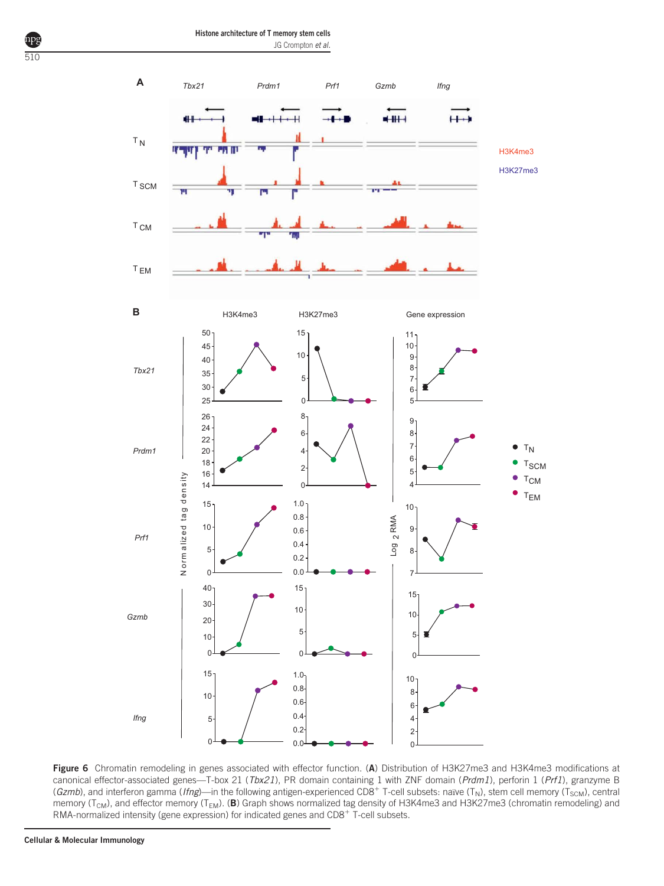Histone architecture of T memory stem cells JG Crompton et al.



Figure 6 Chromatin remodeling in genes associated with effector function. (A) Distribution of H3K27me3 and H3K4me3 modifications at canonical effector-associated genes-T-box 21 (Tbx21), PR domain containing 1 with ZNF domain (Prdm1), perforin 1 (Prf1), granzyme B (Gzmb), and interferon gamma (Ifng)—in the following antigen-experienced CD8<sup>+</sup> T-cell subsets: naïve (T<sub>N</sub>), stem cell memory (T<sub>SCM</sub>), central memory ( $T_{CM}$ ), and effector memory ( $T_{EM}$ ). (B) Graph shows normalized tag density of H3K4me3 and H3K27me3 (chromatin remodeling) and RMA-normalized intensity (gene expression) for indicated genes and CD8<sup>+</sup> T-cell subsets.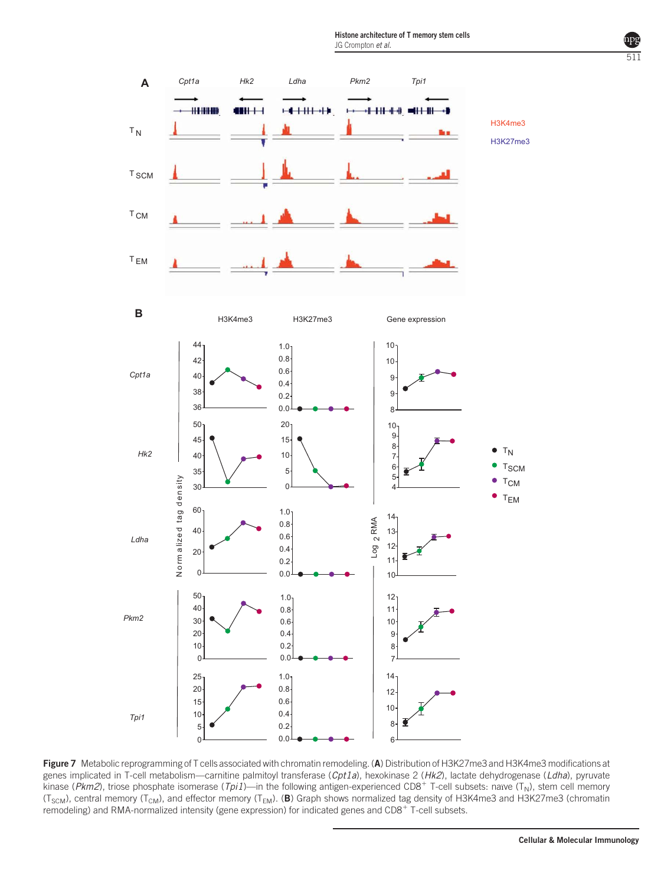

Figure 7 Metabolic reprogramming of T cells associated with chromatin remodeling. (A) Distribution of H3K27me3 and H3K4me3 modifications at genes implicated in T-cell metabolism—carnitine palmitoyl transferase (Cpt1a), hexokinase 2 (Hk2), lactate dehydrogenase (Ldha), pyruvate kinase ( $Pkm2$ ), triose phosphate isomerase ( $Tpi1$ )—in the following antigen-experienced CD8<sup>+</sup> T-cell subsets: naïve ( $T_N$ ), stem cell memory (T<sub>SCM</sub>), central memory (T<sub>CM</sub>), and effector memory (T<sub>EM</sub>). (B) Graph shows normalized tag density of H3K4me3 and H3K27me3 (chromatin remodeling) and RMA-normalized intensity (gene expression) for indicated genes and CD8<sup>+</sup> T-cell subsets.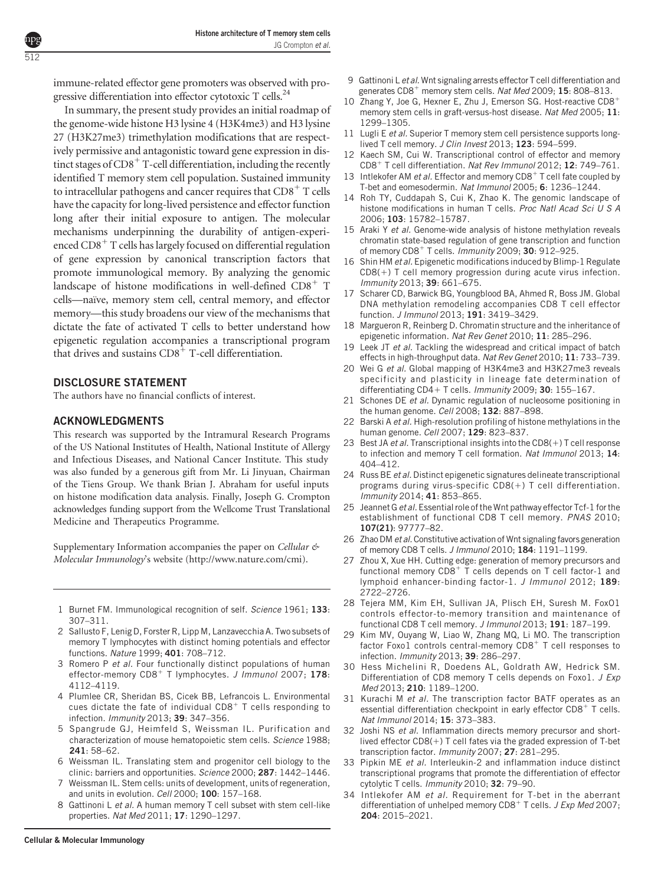immune-related effector gene promoters was observed with progressive differentiation into effector cytotoxic  $T$  cells.<sup>24</sup>

In summary, the present study provides an initial roadmap of the genome-wide histone H3 lysine 4 (H3K4me3) and H3 lysine 27 (H3K27me3) trimethylation modifications that are respectively permissive and antagonistic toward gene expression in distinct stages of  $CD8^+$  T-cell differentiation, including the recently identified T memory stem cell population. Sustained immunity to intracellular pathogens and cancer requires that  $CD8^+$  T cells have the capacity for long-lived persistence and effector function long after their initial exposure to antigen. The molecular mechanisms underpinning the durability of antigen-experienced CD8<sup>+</sup> T cells has largely focused on differential regulation of gene expression by canonical transcription factors that promote immunological memory. By analyzing the genomic landscape of histone modifications in well-defined  $CDB^+$  T cells—na¨ıve, memory stem cell, central memory, and effector memory—this study broadens our view of the mechanisms that dictate the fate of activated T cells to better understand how epigenetic regulation accompanies a transcriptional program that drives and sustains  $CDB^+$  T-cell differentiation.

### DISCLOSURE STATEMENT

The authors have no financial conflicts of interest.

#### ACKNOWLEDGMENTS

This research was supported by the Intramural Research Programs of the US National Institutes of Health, National Institute of Allergy and Infectious Diseases, and National Cancer Institute. This study was also funded by a generous gift from Mr. Li Jinyuan, Chairman of the Tiens Group. We thank Brian J. Abraham for useful inputs on histone modification data analysis. Finally, Joseph G. Crompton acknowledges funding support from the Wellcome Trust Translational Medicine and Therapeutics Programme.

Supplementary Information accompanies the paper on Cellular  $\mathfrak{G}$ Molecular Immunology's website (http://www.nature.com/cmi).

- 1 Burnet FM. Immunological recognition of self. Science 1961; 133: 307–311.
- 2 Sallusto F, Lenig D, Forster R, Lipp M, Lanzavecchia A. Two subsets of memory T lymphocytes with distinct homing potentials and effector functions. Nature 1999; 401: 708–712.
- 3 Romero P et al. Four functionally distinct populations of human effector-memory CD8<sup>+</sup> T lymphocytes. J Immunol 2007; 178: 4112–4119.
- 4 Plumlee CR, Sheridan BS, Cicek BB, Lefrancois L. Environmental cues dictate the fate of individual  $CDB<sup>+</sup>$  T cells responding to infection. Immunity 2013; 39: 347–356.
- 5 Spangrude GJ, Heimfeld S, Weissman IL. Purification and characterization of mouse hematopoietic stem cells. Science 1988; 241: 58–62.
- 6 Weissman IL. Translating stem and progenitor cell biology to the clinic: barriers and opportunities. Science 2000; 287: 1442-1446.
- 7 Weissman IL. Stem cells: units of development, units of regeneration, and units in evolution. Cell 2000; 100: 157–168.
- 8 Gattinoni L et al. A human memory T cell subset with stem cell-like properties. Nat Med 2011; 17: 1290–1297.
- 9 Gattinoni L et al. Wnt signaling arrests effector T cell differentiation and generates  $CD8^+$  memory stem cells. Nat Med 2009; 15: 808-813.
- 10 Zhang Y, Joe G, Hexner E, Zhu J, Emerson SG. Host-reactive  $CD8<sup>+</sup>$ memory stem cells in graft-versus-host disease. Nat Med 2005; 11: 1299–1305.
- 11 Lugli E et al. Superior T memory stem cell persistence supports longlived T cell memory. J Clin Invest 2013; 123: 594-599.
- 12 Kaech SM, Cui W. Transcriptional control of effector and memory CD8<sup>+</sup> T cell differentiation. Nat Rev Immunol 2012; 12: 749-761.
- 13 Intlekofer AM et al. Effector and memory CD8<sup>+</sup> T cell fate coupled by T-bet and eomesodermin. Nat Immunol 2005; 6: 1236–1244.
- 14 Roh TY, Cuddapah S, Cui K, Zhao K. The genomic landscape of histone modifications in human T cells. Proc Natl Acad Sci U S A 2006; 103: 15782–15787.
- 15 Araki Y et al. Genome-wide analysis of histone methylation reveals chromatin state-based regulation of gene transcription and function of memory CD8<sup>+</sup> T cells. Immunity 2009; 30: 912-925.
- 16 Shin HM et al. Epigenetic modifications induced by Blimp-1 Regulate  $CDS(+)$  T cell memory progression during acute virus infection. Immunity 2013; 39: 661–675.
- 17 Scharer CD, Barwick BG, Youngblood BA, Ahmed R, Boss JM. Global DNA methylation remodeling accompanies CD8 T cell effector function. *J Immunol* 2013; 191: 3419-3429.
- 18 Margueron R, Reinberg D. Chromatin structure and the inheritance of epigenetic information. Nat Rev Genet 2010; 11: 285-296.
- 19 Leek JT et al. Tackling the widespread and critical impact of batch effects in high-throughput data. Nat Rev Genet 2010; 11: 733-739.
- 20 Wei G et al. Global mapping of H3K4me3 and H3K27me3 reveals specificity and plasticity in lineage fate determination of differentiating CD4+ T cells. Immunity 2009; 30: 155-167.
- 21 Schones DE et al. Dynamic regulation of nucleosome positioning in the human genome. Cell 2008; 132: 887-898.
- 22 Barski A et al. High-resolution profiling of histone methylations in the human genome. Cell 2007; 129: 823-837.
- 23 Best JA et al. Transcriptional insights into the  $CD8(+)$  T cell response to infection and memory T cell formation. Nat Immunol 2013; 14: 404–412.
- 24 Russ BE et al. Distinct epigenetic signatures delineate transcriptional programs during virus-specific  $CDS(+)$  T cell differentiation. Immunity 2014; 41: 853–865.
- 25 Jeannet G et al. Essential role of the Wnt pathway effector Tcf-1 for the establishment of functional CD8 T cell memory. PNAS 2010; 107(21): 97777–82.
- 26 Zhao DM et al. Constitutive activation of Wnt signaling favors generation of memory CD8 T cells. J Immunol 2010; 184: 1191-1199.
- 27 Zhou X, Xue HH. Cutting edge: generation of memory precursors and functional memory CD8<sup>+</sup> T cells depends on T cell factor-1 and lymphoid enhancer-binding factor-1. J Immunol 2012; 189: 2722–2726.
- 28 Tejera MM, Kim EH, Sullivan JA, Plisch EH, Suresh M. FoxO1 controls effector-to-memory transition and maintenance of functional CD8 T cell memory. J Immunol 2013; 191: 187–199.
- 29 Kim MV, Ouyang W, Liao W, Zhang MQ, Li MO. The transcription factor Foxo1 controls central-memory CD8<sup>+</sup> T cell responses to infection. Immunity 2013; 39: 286–297.
- 30 Hess Michelini R, Doedens AL, Goldrath AW, Hedrick SM. Differentiation of CD8 memory T cells depends on Foxo1. J Exp Med 2013; 210: 1189–1200.
- 31 Kurachi M et al. The transcription factor BATF operates as an essential differentiation checkpoint in early effector CD8<sup>+</sup> T cells. Nat Immunol 2014; 15: 373–383.
- 32 Joshi NS et al. Inflammation directs memory precursor and shortlived effector  $CD8(+)$  T cell fates via the graded expression of T-bet transcription factor. Immunity 2007; 27: 281-295.
- 33 Pipkin ME et al. Interleukin-2 and inflammation induce distinct transcriptional programs that promote the differentiation of effector cytolytic T cells. Immunity 2010; 32: 79-90.
- 34 Intlekofer AM et al. Requirement for T-bet in the aberrant differentiation of unhelped memory CD8<sup>+</sup> T cells. *J Exp Med* 2007; 204: 2015–2021.